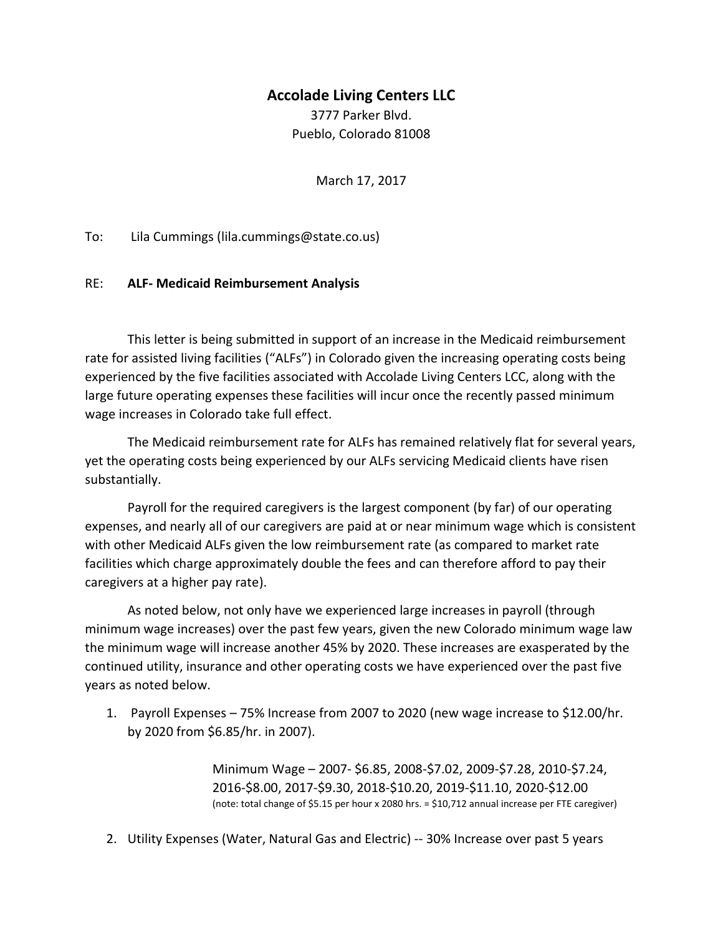## **Accolade Living Centers LLC**

3777 Parker Blvd. Pueblo, Colorado 81008

March 17, 2017

To: Lila Cummings (lila.cummings@state.co.us)

## RE: **ALF- Medicaid Reimbursement Analysis**

This letter is being submitted in support of an increase in the Medicaid reimbursement rate for assisted living facilities ("ALFs") in Colorado given the increasing operating costs being experienced by the five facilities associated with Accolade Living Centers LCC, along with the large future operating expenses these facilities will incur once the recently passed minimum wage increases in Colorado take full effect.

The Medicaid reimbursement rate for ALFs has remained relatively flat for several years, yet the operating costs being experienced by our ALFs servicing Medicaid clients have risen substantially.

Payroll for the required caregivers is the largest component (by far) of our operating expenses, and nearly all of our caregivers are paid at or near minimum wage which is consistent with other Medicaid ALFs given the low reimbursement rate (as compared to market rate facilities which charge approximately double the fees and can therefore afford to pay their caregivers at a higher pay rate).

As noted below, not only have we experienced large increases in payroll (through minimum wage increases) over the past few years, given the new Colorado minimum wage law the minimum wage will increase another 45% by 2020. These increases are exasperated by the continued utility, insurance and other operating costs we have experienced over the past five years as noted below.

1. Payroll Expenses – 75% Increase from 2007 to 2020 (new wage increase to \$12.00/hr. by 2020 from \$6.85/hr. in 2007).

> Minimum Wage – 2007- \$6.85, 2008-\$7.02, 2009-\$7.28, 2010-\$7.24, 2016-\$8.00, 2017-\$9.30, 2018-\$10.20, 2019-\$11.10, 2020-\$12.00 (note: total change of \$5.15 per hour x 2080 hrs. = \$10,712 annual increase per FTE caregiver)

2. Utility Expenses (Water, Natural Gas and Electric) -- 30% Increase over past 5 years